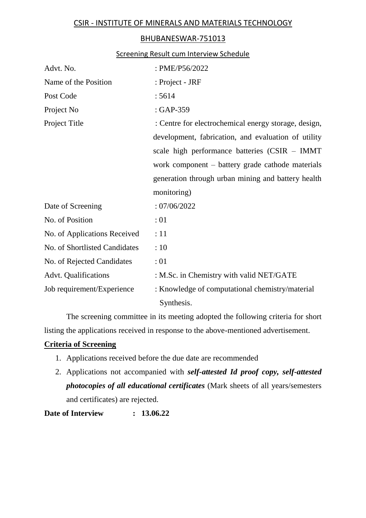## CSIR - INSTITUTE OF MINERALS AND MATERIALS TECHNOLOGY

## BHUBANESWAR-751013

## Screening Result cum Interview Schedule

| Advt. No.                     | : PME/P56/2022                                       |  |
|-------------------------------|------------------------------------------------------|--|
| Name of the Position          | : Project - JRF                                      |  |
| Post Code                     | : 5614                                               |  |
| Project No                    | $: GAP-359$                                          |  |
| Project Title                 | : Centre for electrochemical energy storage, design, |  |
|                               | development, fabrication, and evaluation of utility  |  |
|                               | scale high performance batteries (CSIR – IMMT        |  |
|                               | work component – battery grade cathode materials     |  |
|                               | generation through urban mining and battery health   |  |
|                               | monitoring)                                          |  |
| Date of Screening             | :07/06/2022                                          |  |
| No. of Position               | : 01                                                 |  |
| No. of Applications Received  | :11                                                  |  |
| No. of Shortlisted Candidates | :10                                                  |  |
| No. of Rejected Candidates    | :01                                                  |  |
| Advt. Qualifications          | : M.Sc. in Chemistry with valid NET/GATE             |  |
| Job requirement/Experience    | : Knowledge of computational chemistry/material      |  |
|                               | Synthesis.                                           |  |

The screening committee in its meeting adopted the following criteria for short listing the applications received in response to the above-mentioned advertisement.

## **Criteria of Screening**

- 1. Applications received before the due date are recommended
- 2. Applications not accompanied with *self-attested Id proof copy, self-attested photocopies of all educational certificates* (Mark sheets of all years/semesters and certificates) are rejected.

**Date of Interview : 13.06.22**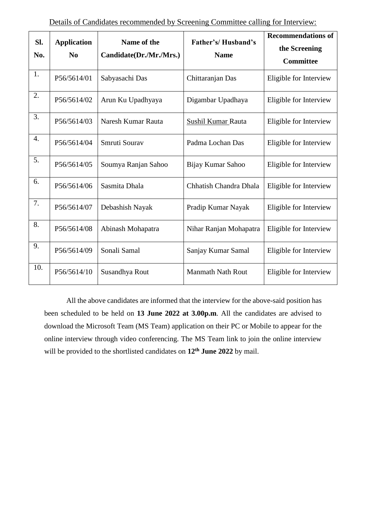| Sl.<br>No. | <b>Application</b><br>$\bf No$ | Name of the<br>Candidate(Dr./Mr./Mrs.) | Father's/Husband's<br><b>Name</b> | <b>Recommendations of</b><br>the Screening<br><b>Committee</b> |
|------------|--------------------------------|----------------------------------------|-----------------------------------|----------------------------------------------------------------|
| 1.         | P56/5614/01                    | Sabyasachi Das                         | Chittaranjan Das                  | Eligible for Interview                                         |
| 2.         | P56/5614/02                    | Arun Ku Upadhyaya                      | Digambar Upadhaya                 | Eligible for Interview                                         |
| 3.         | P56/5614/03                    | Naresh Kumar Rauta                     | Sushil Kumar Rauta                | Eligible for Interview                                         |
| 4.         | P56/5614/04                    | Smruti Sourav                          | Padma Lochan Das                  | Eligible for Interview                                         |
| 5.         | P56/5614/05                    | Soumya Ranjan Sahoo                    | Bijay Kumar Sahoo                 | Eligible for Interview                                         |
| 6.         | P56/5614/06                    | Sasmita Dhala                          | Chhatish Chandra Dhala            | Eligible for Interview                                         |
| 7.         | P56/5614/07                    | Debashish Nayak                        | Pradip Kumar Nayak                | Eligible for Interview                                         |
| 8.         | P56/5614/08                    | Abinash Mohapatra                      | Nihar Ranjan Mohapatra            | Eligible for Interview                                         |
| 9.         | P56/5614/09                    | Sonali Samal                           | Sanjay Kumar Samal                | Eligible for Interview                                         |
| 10.        | P56/5614/10                    | Susandhya Rout                         | <b>Manmath Nath Rout</b>          | Eligible for Interview                                         |

All the above candidates are informed that the interview for the above-said position has been scheduled to be held on **13 June 2022 at 3.00p.m**. All the candidates are advised to download the Microsoft Team (MS Team) application on their PC or Mobile to appear for the online interview through video conferencing. The MS Team link to join the online interview will be provided to the shortlisted candidates on **12th June 2022** by mail.